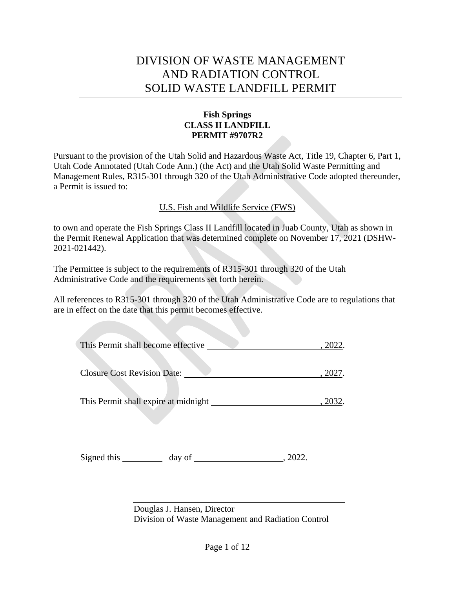# DIVISION OF WASTE MANAGEMENT AND RADIATION CONTROL SOLID WASTE LANDFILL PERMIT

## **Fish Springs CLASS II LANDFILL PERMIT #9707R2**

Pursuant to the provision of the Utah Solid and Hazardous Waste Act, Title 19, Chapter 6, Part 1, Utah Code Annotated (Utah Code Ann.) (the Act) and the Utah Solid Waste Permitting and Management Rules, R315-301 through 320 of the Utah Administrative Code adopted thereunder, a Permit is issued to:

U.S. Fish and Wildlife Service (FWS)

to own and operate the Fish Springs Class II Landfill located in Juab County, Utah as shown in the Permit Renewal Application that was determined complete on November 17, 2021 (DSHW-2021-021442).

The Permittee is subject to the requirements of R315-301 through 320 of the Utah Administrative Code and the requirements set forth herein.

All references to R315-301 through 320 of the Utah Administrative Code are to regulations that are in effect on the date that this permit becomes effective.

| This Permit shall become effective   |  |
|--------------------------------------|--|
|                                      |  |
| <b>Closure Cost Revision Date:</b>   |  |
|                                      |  |
| This Permit shall expire at midnight |  |

Signed this day of , 2022.

Douglas J. Hansen, Director Division of Waste Management and Radiation Control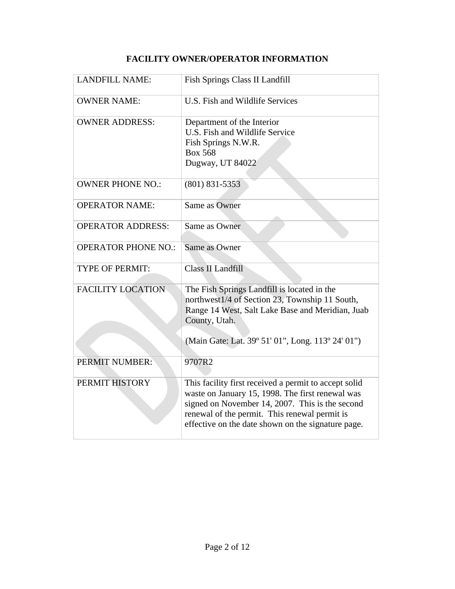| <b>LANDFILL NAME:</b>      | Fish Springs Class II Landfill                                                                                                                                                                                                                                      |
|----------------------------|---------------------------------------------------------------------------------------------------------------------------------------------------------------------------------------------------------------------------------------------------------------------|
| <b>OWNER NAME:</b>         | U.S. Fish and Wildlife Services                                                                                                                                                                                                                                     |
| <b>OWNER ADDRESS:</b>      | Department of the Interior<br>U.S. Fish and Wildlife Service<br>Fish Springs N.W.R.<br><b>Box 568</b><br>Dugway, UT 84022                                                                                                                                           |
| <b>OWNER PHONE NO.:</b>    | $(801)$ 831-5353                                                                                                                                                                                                                                                    |
| <b>OPERATOR NAME:</b>      | Same as Owner                                                                                                                                                                                                                                                       |
| <b>OPERATOR ADDRESS:</b>   | Same as Owner                                                                                                                                                                                                                                                       |
| <b>OPERATOR PHONE NO.:</b> | Same as Owner                                                                                                                                                                                                                                                       |
| <b>TYPE OF PERMIT:</b>     | Class II Landfill                                                                                                                                                                                                                                                   |
| <b>FACILITY LOCATION</b>   | The Fish Springs Landfill is located in the<br>northwest1/4 of Section 23, Township 11 South,<br>Range 14 West, Salt Lake Base and Meridian, Juab<br>County, Utah.<br>(Main Gate: Lat. 39° 51' 01", Long. 113° 24' 01")                                             |
| PERMIT NUMBER:             | 9707R2                                                                                                                                                                                                                                                              |
| PERMIT HISTORY             | This facility first received a permit to accept solid<br>waste on January 15, 1998. The first renewal was<br>signed on November 14, 2007. This is the second<br>renewal of the permit. This renewal permit is<br>effective on the date shown on the signature page. |

## **FACILITY OWNER/OPERATOR INFORMATION**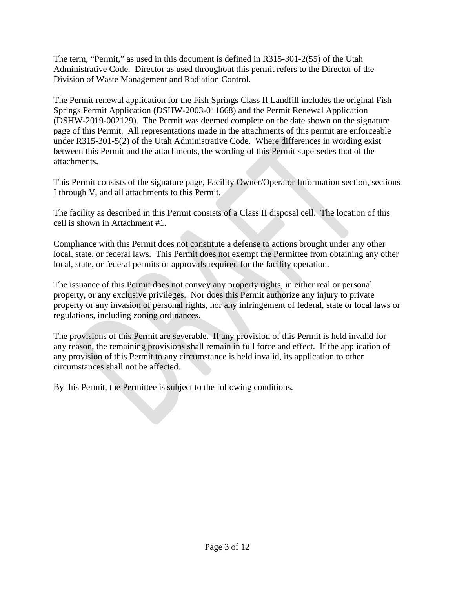The term, "Permit," as used in this document is defined in R315-301-2(55) of the Utah Administrative Code. Director as used throughout this permit refers to the Director of the Division of Waste Management and Radiation Control.

The Permit renewal application for the Fish Springs Class II Landfill includes the original Fish Springs Permit Application (DSHW-2003-011668) and the Permit Renewal Application (DSHW-2019-002129). The Permit was deemed complete on the date shown on the signature page of this Permit. All representations made in the attachments of this permit are enforceable under R315-301-5(2) of the Utah Administrative Code. Where differences in wording exist between this Permit and the attachments, the wording of this Permit supersedes that of the attachments.

This Permit consists of the signature page, Facility Owner/Operator Information section, sections I through V, and all attachments to this Permit.

The facility as described in this Permit consists of a Class II disposal cell. The location of this cell is shown in Attachment #1.

Compliance with this Permit does not constitute a defense to actions brought under any other local, state, or federal laws. This Permit does not exempt the Permittee from obtaining any other local, state, or federal permits or approvals required for the facility operation.

The issuance of this Permit does not convey any property rights, in either real or personal property, or any exclusive privileges. Nor does this Permit authorize any injury to private property or any invasion of personal rights, nor any infringement of federal, state or local laws or regulations, including zoning ordinances.

The provisions of this Permit are severable. If any provision of this Permit is held invalid for any reason, the remaining provisions shall remain in full force and effect. If the application of any provision of this Permit to any circumstance is held invalid, its application to other circumstances shall not be affected.

By this Permit, the Permittee is subject to the following conditions.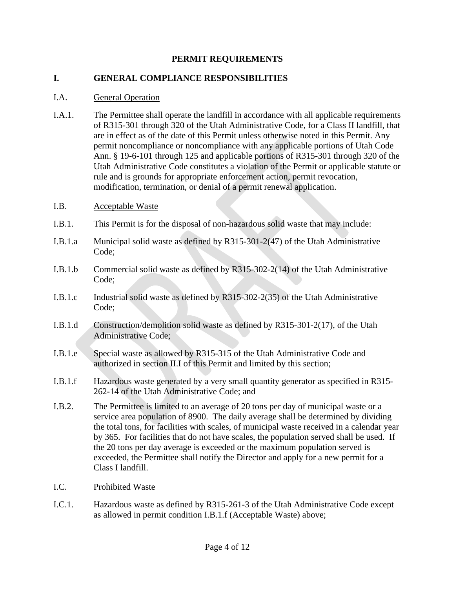## **PERMIT REQUIREMENTS**

#### **I. GENERAL COMPLIANCE RESPONSIBILITIES**

#### I.A. General Operation

I.A.1. The Permittee shall operate the landfill in accordance with all applicable requirements of R315-301 through 320 of the Utah Administrative Code, for a Class II landfill, that are in effect as of the date of this Permit unless otherwise noted in this Permit. Any permit noncompliance or noncompliance with any applicable portions of Utah Code Ann. § 19-6-101 through 125 and applicable portions of R315-301 through 320 of the Utah Administrative Code constitutes a violation of the Permit or applicable statute or rule and is grounds for appropriate enforcement action, permit revocation, modification, termination, or denial of a permit renewal application.

#### <span id="page-3-1"></span>I.B. Acceptable Waste

- I.B.1. This Permit is for the disposal of non-hazardous solid waste that may include:
- I.B.1.a Municipal solid waste as defined by R315-301-2(47) of the Utah Administrative Code;
- I.B.1.b Commercial solid waste as defined by R315-302-2(14) of the Utah Administrative Code;
- I.B.1.c Industrial solid waste as defined by R315-302-2(35) of the Utah Administrative Code;
- I.B.1.d Construction/demolition solid waste as defined by R315-301-2(17), of the Utah Administrative Code;
- I.B.1.e Special waste as allowed by R315-315 of the Utah Administrative Code and authorized in section [II.I](#page-8-0) of this Permit and limited by this section;
- <span id="page-3-0"></span>I.B.1.f Hazardous waste generated by a very small quantity generator as specified in R315- 262-14 of the Utah Administrative Code; and
- I.B.2. The Permittee is limited to an average of 20 tons per day of municipal waste or a service area population of 8900. The daily average shall be determined by dividing the total tons, for facilities with scales, of municipal waste received in a calendar year by 365. For facilities that do not have scales, the population served shall be used. If the 20 tons per day average is exceeded or the maximum population served is exceeded, the Permittee shall notify the Director and apply for a new permit for a Class I landfill.
- I.C. Prohibited Waste
- I.C.1. Hazardous waste as defined by R315-261-3 of the Utah Administrative Code except as allowed in permit condition [I.B.1.f](#page-3-0) (Acceptable Waste) above;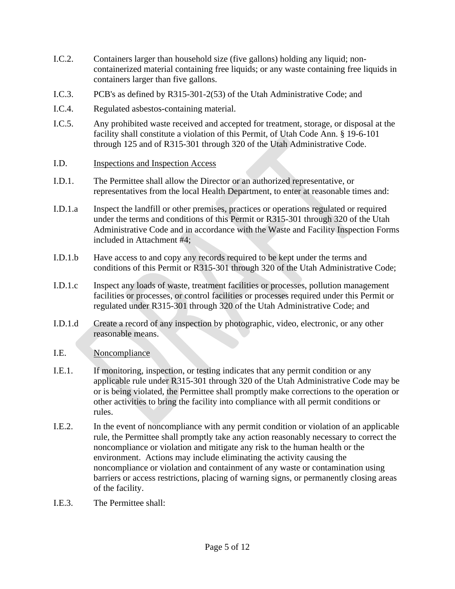- I.C.2. Containers larger than household size (five gallons) holding any liquid; noncontainerized material containing free liquids; or any waste containing free liquids in containers larger than five gallons.
- I.C.3. PCB's as defined by R315-301-2(53) of the Utah Administrative Code; and
- I.C.4. Regulated asbestos-containing material.
- I.C.5. Any prohibited waste received and accepted for treatment, storage, or disposal at the facility shall constitute a violation of this Permit, of Utah Code Ann. § 19-6-101 through 125 and of R315-301 through 320 of the Utah Administrative Code.
- I.D. Inspections and Inspection Access
- I.D.1. The Permittee shall allow the Director or an authorized representative, or representatives from the local Health Department, to enter at reasonable times and:
- I.D.1.a Inspect the landfill or other premises, practices or operations regulated or required under the terms and conditions of this Permit or R315-301 through 320 of the Utah Administrative Code and in accordance with the Waste and Facility Inspection Forms included in Attachment #4;
- I.D.1.b Have access to and copy any records required to be kept under the terms and conditions of this Permit or R315-301 through 320 of the Utah Administrative Code;
- I.D.1.c Inspect any loads of waste, treatment facilities or processes, pollution management facilities or processes, or control facilities or processes required under this Permit or regulated under R315-301 through 320 of the Utah Administrative Code; and
- I.D.1.d Create a record of any inspection by photographic, video, electronic, or any other reasonable means.
- I.E. Noncompliance
- I.E.1. If monitoring, inspection, or testing indicates that any permit condition or any applicable rule under R315-301 through 320 of the Utah Administrative Code may be or is being violated, the Permittee shall promptly make corrections to the operation or other activities to bring the facility into compliance with all permit conditions or rules.
- I.E.2. In the event of noncompliance with any permit condition or violation of an applicable rule, the Permittee shall promptly take any action reasonably necessary to correct the noncompliance or violation and mitigate any risk to the human health or the environment. Actions may include eliminating the activity causing the noncompliance or violation and containment of any waste or contamination using barriers or access restrictions, placing of warning signs, or permanently closing areas of the facility.
- I.E.3. The Permittee shall: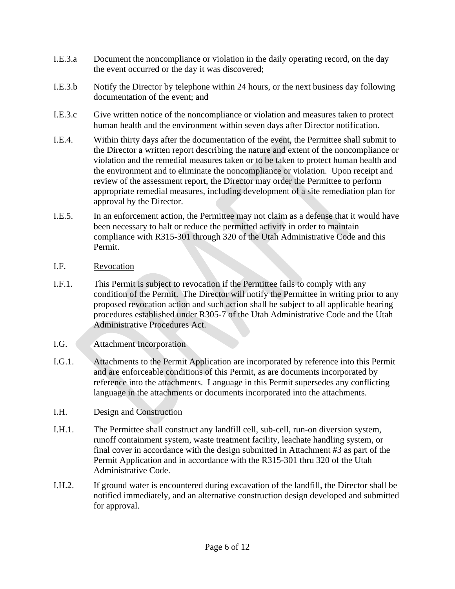- I.E.3.a Document the noncompliance or violation in the daily operating record, on the day the event occurred or the day it was discovered;
- I.E.3.b Notify the Director by telephone within 24 hours, or the next business day following documentation of the event; and
- I.E.3.c Give written notice of the noncompliance or violation and measures taken to protect human health and the environment within seven days after Director notification.
- I.E.4. Within thirty days after the documentation of the event, the Permittee shall submit to the Director a written report describing the nature and extent of the noncompliance or violation and the remedial measures taken or to be taken to protect human health and the environment and to eliminate the noncompliance or violation. Upon receipt and review of the assessment report, the Director may order the Permittee to perform appropriate remedial measures, including development of a site remediation plan for approval by the Director.
- I.E.5. In an enforcement action, the Permittee may not claim as a defense that it would have been necessary to halt or reduce the permitted activity in order to maintain compliance with R315-301 through 320 of the Utah Administrative Code and this Permit.
- I.F. Revocation
- I.F.1. This Permit is subject to revocation if the Permittee fails to comply with any condition of the Permit. The Director will notify the Permittee in writing prior to any proposed revocation action and such action shall be subject to all applicable hearing procedures established under R305-7 of the Utah Administrative Code and the Utah Administrative Procedures Act.
- I.G. Attachment Incorporation
- I.G.1. Attachments to the Permit Application are incorporated by reference into this Permit and are enforceable conditions of this Permit, as are documents incorporated by reference into the attachments. Language in this Permit supersedes any conflicting language in the attachments or documents incorporated into the attachments.
- I.H. Design and Construction
- I.H.1. The Permittee shall construct any landfill cell, sub-cell, run-on diversion system, runoff containment system, waste treatment facility, leachate handling system, or final cover in accordance with the design submitted in Attachment #3 as part of the Permit Application and in accordance with the R315-301 thru 320 of the Utah Administrative Code.
- I.H.2. If ground water is encountered during excavation of the landfill, the Director shall be notified immediately, and an alternative construction design developed and submitted for approval.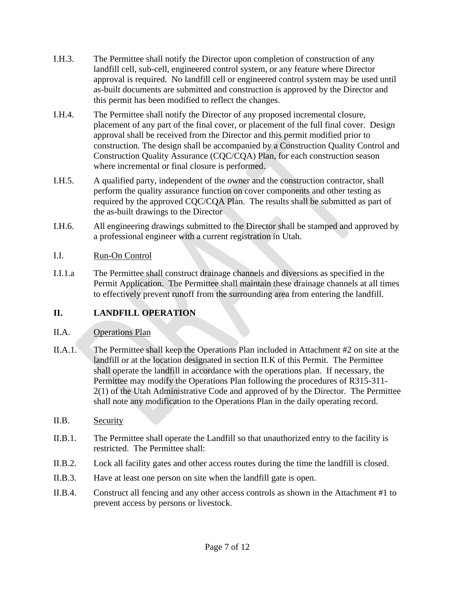- I.H.3. The Permittee shall notify the Director upon completion of construction of any landfill cell, sub-cell, engineered control system, or any feature where Director approval is required. No landfill cell or engineered control system may be used until as-built documents are submitted and construction is approved by the Director and this permit has been modified to reflect the changes.
- I.H.4. The Permittee shall notify the Director of any proposed incremental closure, placement of any part of the final cover, or placement of the full final cover. Design approval shall be received from the Director and this permit modified prior to construction. The design shall be accompanied by a Construction Quality Control and Construction Quality Assurance (CQC/CQA) Plan, for each construction season where incremental or final closure is performed.
- I.H.5. A qualified party, independent of the owner and the construction contractor, shall perform the quality assurance function on cover components and other testing as required by the approved CQC/CQA Plan. The results shall be submitted as part of the as-built drawings to the Director
- I.H.6. All engineering drawings submitted to the Director shall be stamped and approved by a professional engineer with a current registration in Utah.

## I.I. Run-On Control

I.I.1.a The Permittee shall construct drainage channels and diversions as specified in the Permit Application. The Permittee shall maintain these drainage channels at all times to effectively prevent runoff from the surrounding area from entering the landfill.

## **II. LANDFILL OPERATION**

## II.A. Operations Plan

- II.A.1. The Permittee shall keep the Operations Plan included in Attachment #2 on site at the landfill or at the location designated in section [II.K](#page-8-1) of this Permit. The Permittee shall operate the landfill in accordance with the operations plan. If necessary, the Permittee may modify the Operations Plan following the procedures of R315-311- 2(1) of the Utah Administrative Code and approved of by the Director. The Permittee shall note any modification to the Operations Plan in the daily operating record.
- II.B. Security
- II.B.1. The Permittee shall operate the Landfill so that unauthorized entry to the facility is restricted. The Permittee shall:
- II.B.2. Lock all facility gates and other access routes during the time the landfill is closed.
- II.B.3. Have at least one person on site when the landfill gate is open.
- II.B.4. Construct all fencing and any other access controls as shown in the Attachment #1 to prevent access by persons or livestock.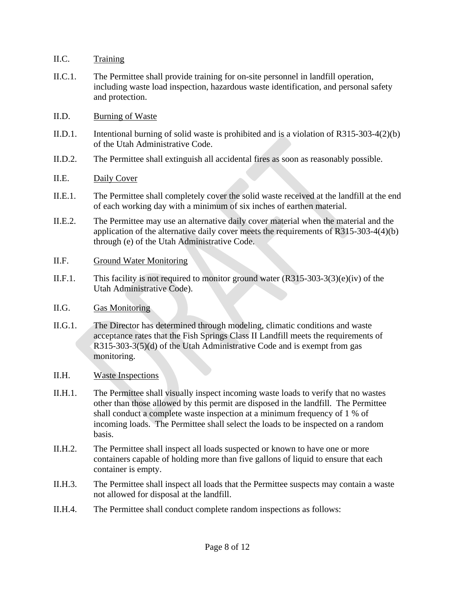- II.C. Training
- II.C.1. The Permittee shall provide training for on-site personnel in landfill operation, including waste load inspection, hazardous waste identification, and personal safety and protection.
- II.D. Burning of Waste
- II.D.1. Intentional burning of solid waste is prohibited and is a violation of R315-303-4(2)(b) of the Utah Administrative Code.
- II.D.2. The Permittee shall extinguish all accidental fires as soon as reasonably possible.
- II.E. Daily Cover
- II.E.1. The Permittee shall completely cover the solid waste received at the landfill at the end of each working day with a minimum of six inches of earthen material.
- II.E.2. The Permittee may use an alternative daily cover material when the material and the application of the alternative daily cover meets the requirements of R315-303-4(4)(b) through (e) of the Utah Administrative Code.
- II.F. Ground Water Monitoring
- II.F.1. This facility is not required to monitor ground water (R315-303-3(3)(e)(iv) of the Utah Administrative Code).
- II.G. Gas Monitoring
- II.G.1. The Director has determined through modeling, climatic conditions and waste acceptance rates that the Fish Springs Class II Landfill meets the requirements of R315-303-3(5)(d) of the Utah Administrative Code and is exempt from gas monitoring.
- II.H. Waste Inspections
- II.H.1. The Permittee shall visually inspect incoming waste loads to verify that no wastes other than those allowed by this permit are disposed in the landfill. The Permittee shall conduct a complete waste inspection at a minimum frequency of 1 % of incoming loads. The Permittee shall select the loads to be inspected on a random basis.
- II.H.2. The Permittee shall inspect all loads suspected or known to have one or more containers capable of holding more than five gallons of liquid to ensure that each container is empty.
- II.H.3. The Permittee shall inspect all loads that the Permittee suspects may contain a waste not allowed for disposal at the landfill.
- II.H.4. The Permittee shall conduct complete random inspections as follows: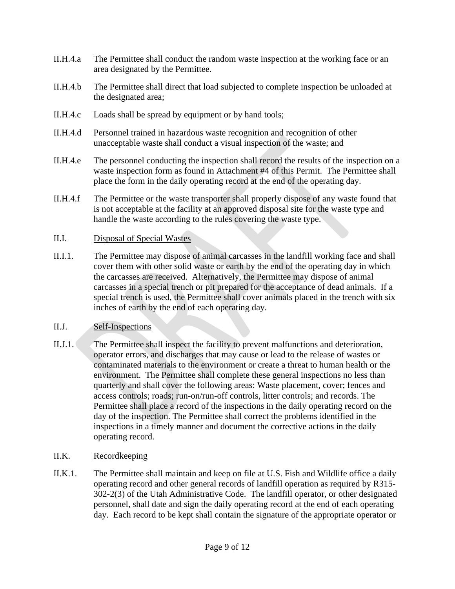- II.H.4.a The Permittee shall conduct the random waste inspection at the working face or an area designated by the Permittee.
- II.H.4.b The Permittee shall direct that load subjected to complete inspection be unloaded at the designated area;
- II.H.4.c Loads shall be spread by equipment or by hand tools;
- II.H.4.d Personnel trained in hazardous waste recognition and recognition of other unacceptable waste shall conduct a visual inspection of the waste; and
- II.H.4.e The personnel conducting the inspection shall record the results of the inspection on a waste inspection form as found in Attachment #4 of this Permit. The Permittee shall place the form in the daily operating record at the end of the operating day.
- II.H.4.f The Permittee or the waste transporter shall properly dispose of any waste found that is not acceptable at the facility at an approved disposal site for the waste type and handle the waste according to the rules covering the waste type.

## <span id="page-8-0"></span>II.I. Disposal of Special Wastes

II.I.1. The Permittee may dispose of animal carcasses in the landfill working face and shall cover them with other solid waste or earth by the end of the operating day in which the carcasses are received. Alternatively, the Permittee may dispose of animal carcasses in a special trench or pit prepared for the acceptance of dead animals. If a special trench is used, the Permittee shall cover animals placed in the trench with six inches of earth by the end of each operating day.

#### II.J. Self-Inspections

- II.J.1. The Permittee shall inspect the facility to prevent malfunctions and deterioration, operator errors, and discharges that may cause or lead to the release of wastes or contaminated materials to the environment or create a threat to human health or the environment. The Permittee shall complete these general inspections no less than quarterly and shall cover the following areas: Waste placement, cover; fences and access controls; roads; run-on/run-off controls, litter controls; and records. The Permittee shall place a record of the inspections in the daily operating record on the day of the inspection. The Permittee shall correct the problems identified in the inspections in a timely manner and document the corrective actions in the daily operating record.
- <span id="page-8-1"></span>II.K. Recordkeeping
- II.K.1. The Permittee shall maintain and keep on file at U.S. Fish and Wildlife office a daily operating record and other general records of landfill operation as required by R315- 302-2(3) of the Utah Administrative Code. The landfill operator, or other designated personnel, shall date and sign the daily operating record at the end of each operating day. Each record to be kept shall contain the signature of the appropriate operator or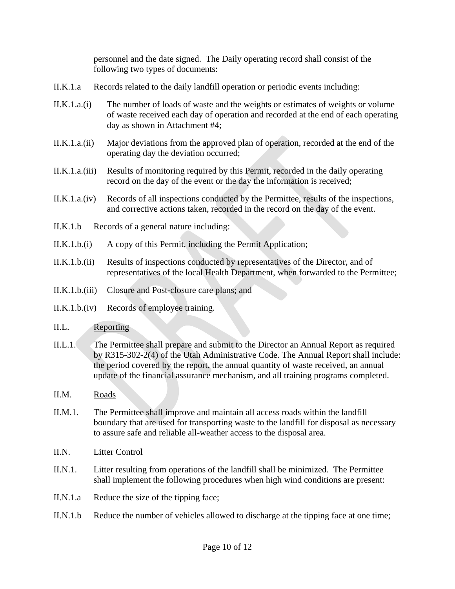personnel and the date signed. The Daily operating record shall consist of the following two types of documents:

- II.K.1.a Records related to the daily landfill operation or periodic events including:
- II.K.1.a.(i) The number of loads of waste and the weights or estimates of weights or volume of waste received each day of operation and recorded at the end of each operating day as shown in Attachment #4;
- II.K.1.a.(ii) Major deviations from the approved plan of operation, recorded at the end of the operating day the deviation occurred;
- II.K.1.a.(iii) Results of monitoring required by this Permit, recorded in the daily operating record on the day of the event or the day the information is received;
- II.K.1.a.(iv) Records of all inspections conducted by the Permittee, results of the inspections, and corrective actions taken, recorded in the record on the day of the event.
- II.K.1.b Records of a general nature including:
- II.K.1.b.(i) A copy of this Permit, including the Permit Application;
- II.K.1.b.(ii) Results of inspections conducted by representatives of the Director, and of representatives of the local Health Department, when forwarded to the Permittee;
- II.K.1.b.(iii) Closure and Post-closure care plans; and
- II.K.1.b.(iv) Records of employee training.

#### II.L. Reporting

- II.L.1. The Permittee shall prepare and submit to the Director an Annual Report as required by R315-302-2(4) of the Utah Administrative Code. The Annual Report shall include: the period covered by the report, the annual quantity of waste received, an annual update of the financial assurance mechanism, and all training programs completed.
- II.M. Roads
- II.M.1. The Permittee shall improve and maintain all access roads within the landfill boundary that are used for transporting waste to the landfill for disposal as necessary to assure safe and reliable all-weather access to the disposal area.
- II.N. Litter Control
- II.N.1. Litter resulting from operations of the landfill shall be minimized. The Permittee shall implement the following procedures when high wind conditions are present:
- II.N.1.a Reduce the size of the tipping face;
- II.N.1.b Reduce the number of vehicles allowed to discharge at the tipping face at one time;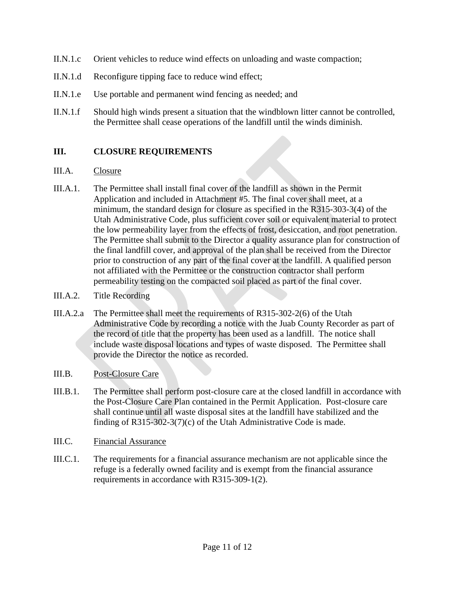- II.N.1.c Orient vehicles to reduce wind effects on unloading and waste compaction;
- II.N.1.d Reconfigure tipping face to reduce wind effect;
- II.N.1.e Use portable and permanent wind fencing as needed; and
- II.N.1.f Should high winds present a situation that the windblown litter cannot be controlled, the Permittee shall cease operations of the landfill until the winds diminish.

## **III. CLOSURE REQUIREMENTS**

#### III.A. Closure

- III.A.1. The Permittee shall install final cover of the landfill as shown in the Permit Application and included in Attachment #5. The final cover shall meet, at a minimum, the standard design for closure as specified in the R315-303-3(4) of the Utah Administrative Code, plus sufficient cover soil or equivalent material to protect the low permeability layer from the effects of frost, desiccation, and root penetration. The Permittee shall submit to the Director a quality assurance plan for construction of the final landfill cover, and approval of the plan shall be received from the Director prior to construction of any part of the final cover at the landfill. A qualified person not affiliated with the Permittee or the construction contractor shall perform permeability testing on the compacted soil placed as part of the final cover.
- III.A.2. Title Recording
- III.A.2.a The Permittee shall meet the requirements of R315-302-2(6) of the Utah Administrative Code by recording a notice with the Juab County Recorder as part of the record of title that the property has been used as a landfill. The notice shall include waste disposal locations and types of waste disposed. The Permittee shall provide the Director the notice as recorded.
- III.B. Post-Closure Care
- III.B.1. The Permittee shall perform post-closure care at the closed landfill in accordance with the Post-Closure Care Plan contained in the Permit Application. Post-closure care shall continue until all waste disposal sites at the landfill have stabilized and the finding of R315-302-3(7)(c) of the Utah Administrative Code is made.
- III.C. Financial Assurance
- III.C.1. The requirements for a financial assurance mechanism are not applicable since the refuge is a federally owned facility and is exempt from the financial assurance requirements in accordance with R315-309-1(2).